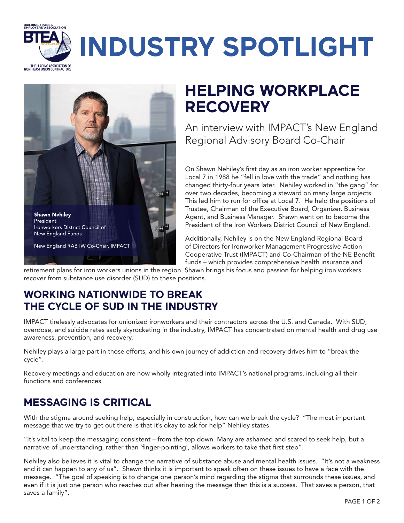## **BUILDING TRADES<br>EMPLOYERS'ASSOCIATION INDUSTRY SPOTLIGHT**THE LEADING ASSOCIATION OF<br>NORTHEAST UNION CONTRACTORS



# **HELPING WORKPLACE RECOVERY**

An interview with IMPACT's New England Regional Advisory Board Co-Chair

On Shawn Nehiley's first day as an iron worker apprentice for Local 7 in 1988 he "fell in love with the trade" and nothing has changed thirty-four years later. Nehiley worked in "the gang" for over two decades, becoming a steward on many large projects. This led him to run for office at Local 7. He held the positions of Trustee, Chairman of the Executive Board, Organizer, Business Agent, and Business Manager. Shawn went on to become the President of the Iron Workers District Council of New England.

Additionally, Nehiley is on the New England Regional Board of Directors for Ironworker Management Progressive Action Cooperative Trust (IMPACT) and Co-Chairman of the NE Benefit funds – which provides comprehensive health insurance and

retirement plans for iron workers unions in the region. Shawn brings his focus and passion for helping iron workers recover from substance use disorder (SUD) to these positions.

#### **WORKING NATIONWIDE TO BREAK THE CYCLE OF SUD IN THE INDUSTRY**

IMPACT tirelessly advocates for unionized ironworkers and their contractors across the U.S. and Canada. With SUD, overdose, and suicide rates sadly skyrocketing in the industry, IMPACT has concentrated on mental health and drug use awareness, prevention, and recovery.

Nehiley plays a large part in those efforts, and his own journey of addiction and recovery drives him to "break the cycle".

Recovery meetings and education are now wholly integrated into IMPACT's national programs, including all their functions and conferences.

### **MESSAGING IS CRITICAL**

With the stigma around seeking help, especially in construction, how can we break the cycle? "The most important message that we try to get out there is that it's okay to ask for help" Nehiley states.

"It's vital to keep the messaging consistent – from the top down. Many are ashamed and scared to seek help, but a narrative of understanding, rather than 'finger-pointing', allows workers to take that first step".

Nehiley also believes it is vital to change the narrative of substance abuse and mental health issues. "It's not a weakness and it can happen to any of us". Shawn thinks it is important to speak often on these issues to have a face with the message. "The goal of speaking is to change one person's mind regarding the stigma that surrounds these issues, and even if it is just one person who reaches out after hearing the message then this is a success. That saves a person, that saves a family".